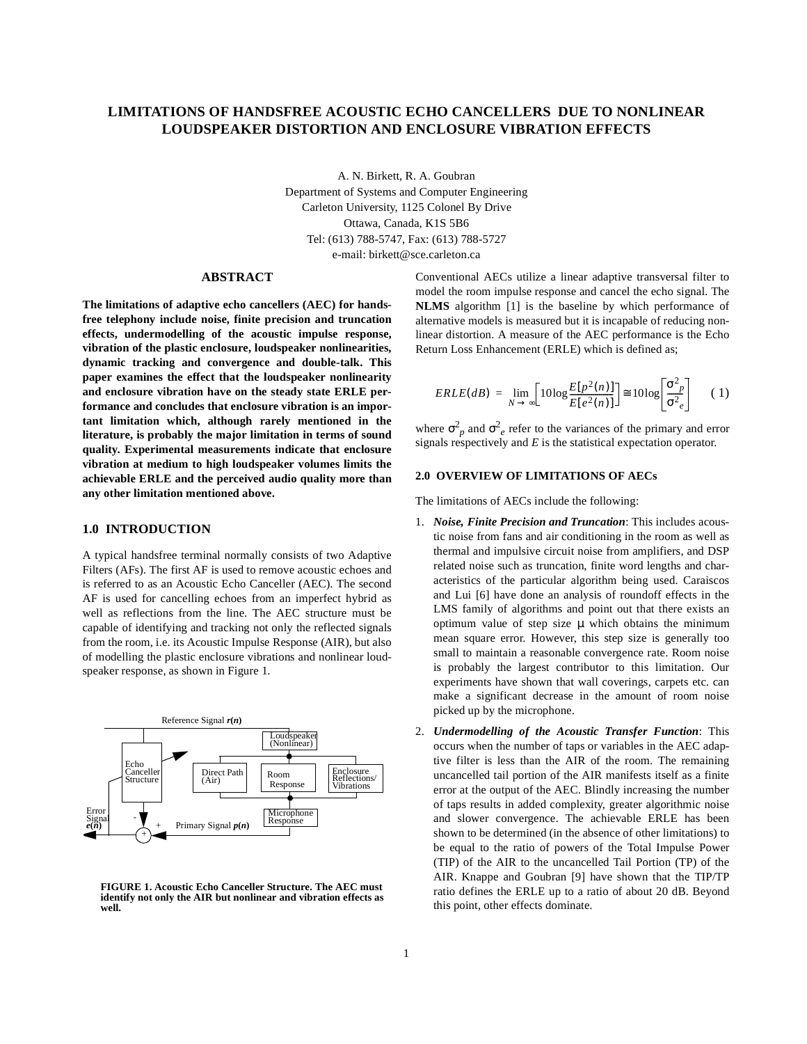# **LIMITATIONS OF HANDSFREE ACOUSTIC ECHO CANCELLERS DUE TO NONLINEAR LOUDSPEAKER DISTORTION AND ENCLOSURE VIBRATION EFFECTS**

A. N. Birkett, R. A. Goubran Department of Systems and Computer Engineering Carleton University, 1125 Colonel By Drive Ottawa, Canada, K1S 5B6 Tel: (613) 788-5747, Fax: (613) 788-5727 e-mail: birkett@sce.carleton.ca

### **ABSTRACT**

**The limitations of adaptive echo cancellers (AEC) for handsfree telephony include noise, finite precision and truncation effects, undermodelling of the acoustic impulse response, vibration of the plastic enclosure, loudspeaker nonlinearities, dynamic tracking and convergence and double-talk. This paper examines the effect that the loudspeaker nonlinearity and enclosure vibration have on the steady state ERLE performance and concludes that enclosure vibration is an important limitation which, although rarely mentioned in the literature, is probably the major limitation in terms of sound quality. Experimental measurements indicate that enclosure vibration at medium to high loudspeaker volumes limits the achievable ERLE and the perceived audio quality more than any other limitation mentioned above.**

# **1.0 INTRODUCTION**

A typical handsfree terminal normally consists of two Adaptive Filters (AFs). The first AF is used to remove acoustic echoes and is referred to as an Acoustic Echo Canceller (AEC). The second AF is used for cancelling echoes from an imperfect hybrid as well as reflections from the line. The AEC structure must be capable of identifying and tracking not only the reflected signals from the room, i.e. its Acoustic Impulse Response (AIR), but also of modelling the plastic enclosure vibrations and nonlinear loudspeaker response, as shown in Figure 1.



**FIGURE 1. Acoustic Echo Canceller Structure. The AEC must identify not only the AIR but nonlinear and vibration effects as well.**

Conventional AECs utilize a linear adaptive transversal filter to model the room impulse response and cancel the echo signal. The **NLMS** algorithm [1] is the baseline by which performance of alternative models is measured but it is incapable of reducing nonlinear distortion. A measure of the AEC performance is the Echo Return Loss Enhancement (ERLE) which is defined as;

$$
ERLE(dB) = \lim_{N \to \infty} \left[ 10 \log \frac{E[p^2(n)]}{E[e^2(n)]} \right] \approx 10 \log \left[ \frac{\sigma^2_p}{\sigma^2_e} \right] \tag{1}
$$

where  $\sigma_p^2$  and  $\sigma_e^2$  refer to the variances of the primary and error signals respectively and *E* is the statistical expectation operator.

## **2.0 OVERVIEW OF LIMITATIONS OF AECs**

The limitations of AECs include the following:

- 1. *Noise, Finite Precision and Truncation*: This includes acoustic noise from fans and air conditioning in the room as well as thermal and impulsive circuit noise from amplifiers, and DSP related noise such as truncation, finite word lengths and characteristics of the particular algorithm being used. Caraiscos and Lui [6] have done an analysis of roundoff effects in the LMS family of algorithms and point out that there exists an optimum value of step size  $\mu$  which obtains the minimum mean square error. However, this step size is generally too small to maintain a reasonable convergence rate. Room noise is probably the largest contributor to this limitation. Our experiments have shown that wall coverings, carpets etc. can make a significant decrease in the amount of room noise picked up by the microphone.
- 2. *Undermodelling of the Acoustic Transfer Function*: This occurs when the number of taps or variables in the AEC adaptive filter is less than the AIR of the room. The remaining uncancelled tail portion of the AIR manifests itself as a finite error at the output of the AEC. Blindly increasing the number of taps results in added complexity, greater algorithmic noise and slower convergence. The achievable ERLE has been shown to be determined (in the absence of other limitations) to be equal to the ratio of powers of the Total Impulse Power (TIP) of the AIR to the uncancelled Tail Portion (TP) of the AIR. Knappe and Goubran [9] have shown that the TIP/TP ratio defines the ERLE up to a ratio of about 20 dB. Beyond this point, other effects dominate.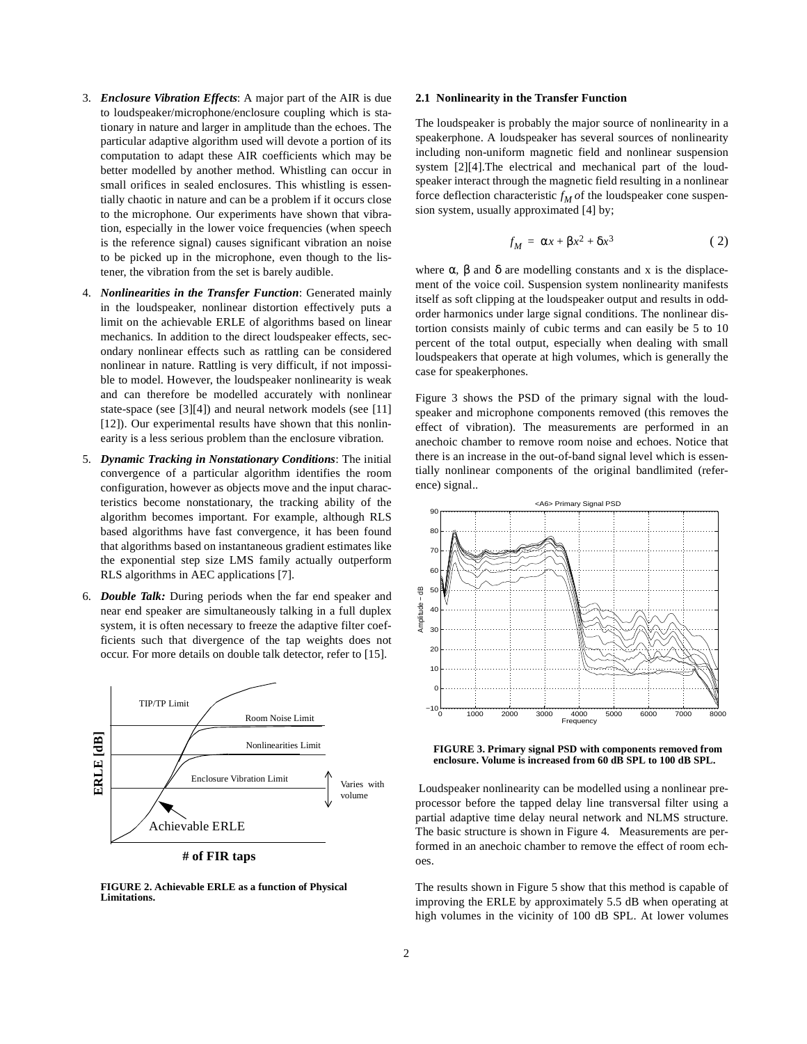- 3. *Enclosure Vibration Effects*: A major part of the AIR is due to loudspeaker/microphone/enclosure coupling which is stationary in nature and larger in amplitude than the echoes. The particular adaptive algorithm used will devote a portion of its computation to adapt these AIR coefficients which may be better modelled by another method. Whistling can occur in small orifices in sealed enclosures. This whistling is essentially chaotic in nature and can be a problem if it occurs close to the microphone. Our experiments have shown that vibration, especially in the lower voice frequencies (when speech is the reference signal) causes significant vibration an noise to be picked up in the microphone, even though to the listener, the vibration from the set is barely audible.
- 4. *Nonlinearities in the Transfer Function*: Generated mainly in the loudspeaker, nonlinear distortion effectively puts a limit on the achievable ERLE of algorithms based on linear mechanics. In addition to the direct loudspeaker effects, secondary nonlinear effects such as rattling can be considered nonlinear in nature. Rattling is very difficult, if not impossible to model. However, the loudspeaker nonlinearity is weak and can therefore be modelled accurately with nonlinear state-space (see [3][4]) and neural network models (see [11] [12]). Our experimental results have shown that this nonlinearity is a less serious problem than the enclosure vibration.
- 5. *Dynamic Tracking in Nonstationary Conditions*: The initial convergence of a particular algorithm identifies the room configuration, however as objects move and the input characteristics become nonstationary, the tracking ability of the algorithm becomes important. For example, although RLS based algorithms have fast convergence, it has been found that algorithms based on instantaneous gradient estimates like the exponential step size LMS family actually outperform RLS algorithms in AEC applications [7].
- 6. *Double Talk:* During periods when the far end speaker and near end speaker are simultaneously talking in a full duplex system, it is often necessary to freeze the adaptive filter coefficients such that divergence of the tap weights does not occur. For more details on double talk detector, refer to [15].



**# of FIR taps**

**FIGURE 2. Achievable ERLE as a function of Physical Limitations.**

## **2.1 Nonlinearity in the Transfer Function**

The loudspeaker is probably the major source of nonlinearity in a speakerphone. A loudspeaker has several sources of nonlinearity including non-uniform magnetic field and nonlinear suspension system [2][4].The electrical and mechanical part of the loudspeaker interact through the magnetic field resulting in a nonlinear force deflection characteristic  $f_M$  *o*f the loudspeaker cone suspension system, usually approximated [4] by;

$$
f_M = \alpha x + \beta x^2 + \delta x^3 \tag{2}
$$

where  $\alpha$ ,  $\beta$  and  $\delta$  are modelling constants and x is the displacement of the voice coil. Suspension system nonlinearity manifests itself as soft clipping at the loudspeaker output and results in oddorder harmonics under large signal conditions. The nonlinear distortion consists mainly of cubic terms and can easily be 5 to 10 percent of the total output, especially when dealing with small loudspeakers that operate at high volumes, which is generally the case for speakerphones.

Figure 3 shows the PSD of the primary signal with the loudspeaker and microphone components removed (this removes the effect of vibration). The measurements are performed in an anechoic chamber to remove room noise and echoes. Notice that there is an increase in the out-of-band signal level which is essentially nonlinear components of the original bandlimited (reference) signal..



**FIGURE 3. Primary signal PSD with components removed from enclosure. Volume is increased from 60 dB SPL to 100 dB SPL.**

Loudspeaker nonlinearity can be modelled using a nonlinear preprocessor before the tapped delay line transversal filter using a partial adaptive time delay neural network and NLMS structure. The basic structure is shown in Figure 4. Measurements are performed in an anechoic chamber to remove the effect of room echoes.

The results shown in Figure 5 show that this method is capable of improving the ERLE by approximately 5.5 dB when operating at high volumes in the vicinity of 100 dB SPL. At lower volumes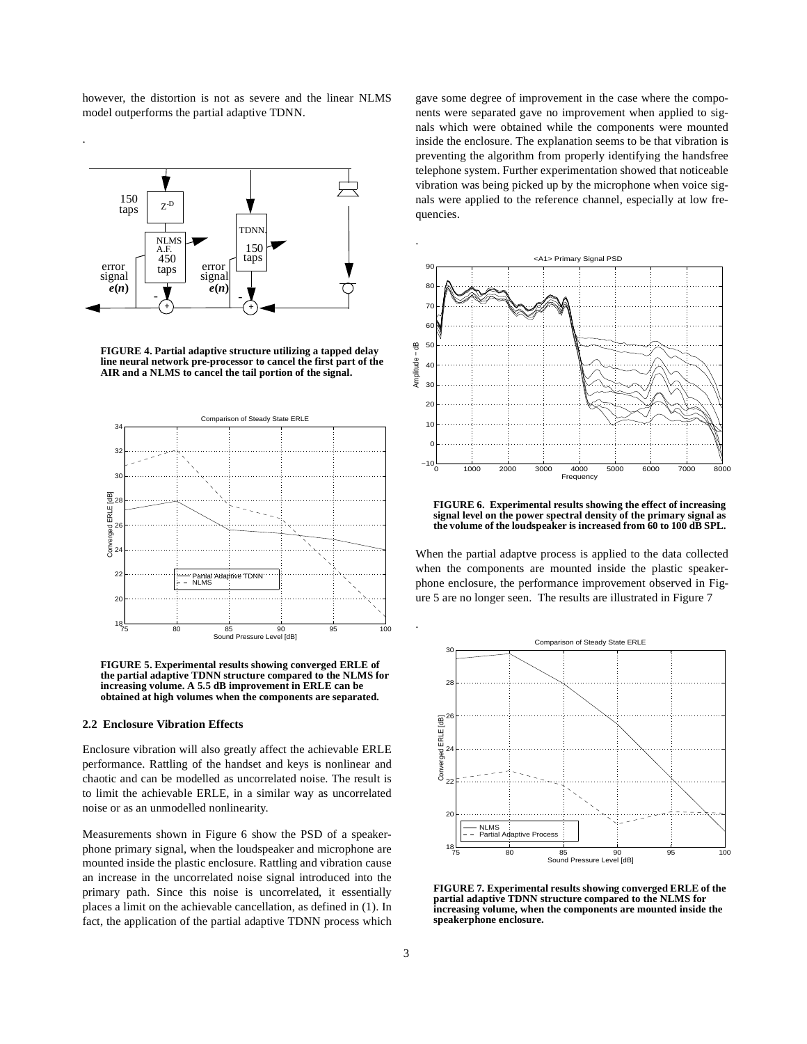however, the distortion is not as severe and the linear NLMS model outperforms the partial adaptive TDNN.

.



**FIGURE 4. Partial adaptive structure utilizing a tapped delay line neural network pre-processor to cancel the first part of the AIR and a NLMS to cancel the tail portion of the signal.**



**FIGURE 5. Experimental results showing converged ERLE of the partial adaptive TDNN structure compared to the NLMS for increasing volume. A 5.5 dB improvement in ERLE can be obtained at high volumes when the components are separated.**

## **2.2 Enclosure Vibration Effects**

Enclosure vibration will also greatly affect the achievable ERLE performance. Rattling of the handset and keys is nonlinear and chaotic and can be modelled as uncorrelated noise. The result is to limit the achievable ERLE, in a similar way as uncorrelated noise or as an unmodelled nonlinearity.

Measurements shown in Figure 6 show the PSD of a speakerphone primary signal, when the loudspeaker and microphone are mounted inside the plastic enclosure. Rattling and vibration cause an increase in the uncorrelated noise signal introduced into the primary path. Since this noise is uncorrelated, it essentially places a limit on the achievable cancellation, as defined in (1). In fact, the application of the partial adaptive TDNN process which

gave some degree of improvement in the case where the components were separated gave no improvement when applied to signals which were obtained while the components were mounted inside the enclosure. The explanation seems to be that vibration is preventing the algorithm from properly identifying the handsfree telephone system. Further experimentation showed that noticeable vibration was being picked up by the microphone when voice signals were applied to the reference channel, especially at low frequencies.



**FIGURE 6. Experimental results showing the effect of increasing signal level on the power spectral density of the primary signal as the volume of the loudspeaker is increased from 60 to 100 dB SPL.**

When the partial adaptve process is applied to the data collected when the components are mounted inside the plastic speakerphone enclosure, the performance improvement observed in Figure 5 are no longer seen. The results are illustrated in Figure 7



**FIGURE 7. Experimental results showing converged ERLE of the partial adaptive TDNN structure compared to the NLMS for increasing volume, when the components are mounted inside the speakerphone enclosure.**

.